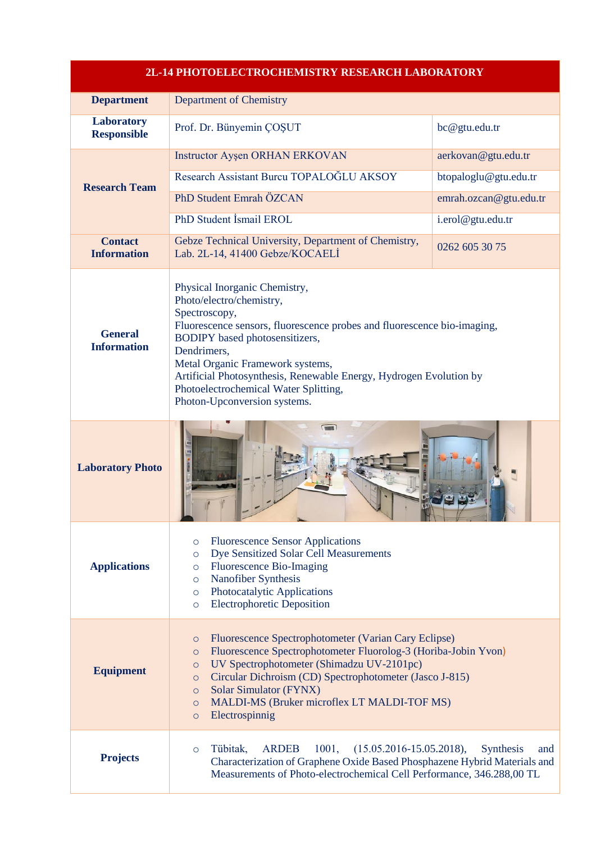| 2L-14 PHOTOELECTROCHEMISTRY RESEARCH LABORATORY |                                                                                                                                                                                                                                                                                                                                                                                                        |                                                                        |
|-------------------------------------------------|--------------------------------------------------------------------------------------------------------------------------------------------------------------------------------------------------------------------------------------------------------------------------------------------------------------------------------------------------------------------------------------------------------|------------------------------------------------------------------------|
| <b>Department</b>                               | <b>Department of Chemistry</b>                                                                                                                                                                                                                                                                                                                                                                         |                                                                        |
| <b>Laboratory</b><br><b>Responsible</b>         | Prof. Dr. Bünyemin ÇOŞUT                                                                                                                                                                                                                                                                                                                                                                               | bc@gtu.edu.tr                                                          |
| <b>Research Team</b>                            | Instructor Ayşen ORHAN ERKOVAN<br>Research Assistant Burcu TOPALOĞLU AKSOY<br>PhD Student Emrah ÖZCAN                                                                                                                                                                                                                                                                                                  | aerkovan@gtu.edu.tr<br>btopaloglu@gtu.edu.tr<br>emrah.ozcan@gtu.edu.tr |
|                                                 | PhD Student İsmail EROL                                                                                                                                                                                                                                                                                                                                                                                | i.erol@gtu.edu.tr                                                      |
| <b>Contact</b><br><b>Information</b>            | Gebze Technical University, Department of Chemistry,<br>Lab. 2L-14, 41400 Gebze/KOCAELI                                                                                                                                                                                                                                                                                                                | 0262 605 30 75                                                         |
| <b>General</b><br><b>Information</b>            | Physical Inorganic Chemistry,<br>Photo/electro/chemistry,<br>Spectroscopy,<br>Fluorescence sensors, fluorescence probes and fluorescence bio-imaging,<br><b>BODIPY</b> based photosensitizers,<br>Dendrimers,<br>Metal Organic Framework systems,<br>Artificial Photosynthesis, Renewable Energy, Hydrogen Evolution by<br>Photoelectrochemical Water Splitting,<br>Photon-Upconversion systems.       |                                                                        |
| <b>Laboratory Photo</b>                         |                                                                                                                                                                                                                                                                                                                                                                                                        |                                                                        |
| <b>Applications</b>                             | <b>Fluorescence Sensor Applications</b><br>$\circ$<br>Dye Sensitized Solar Cell Measurements<br>$\circ$<br><b>Fluorescence Bio-Imaging</b><br>$\circ$<br>Nanofiber Synthesis<br>$\circ$<br>Photocatalytic Applications<br>$\circ$<br><b>Electrophoretic Deposition</b><br>$\circ$                                                                                                                      |                                                                        |
| <b>Equipment</b>                                | Fluorescence Spectrophotometer (Varian Cary Eclipse)<br>$\circ$<br>Fluorescence Spectrophotometer Fluorolog-3 (Horiba-Jobin Yvon)<br>$\circ$<br>UV Spectrophotometer (Shimadzu UV-2101pc)<br>$\circ$<br>Circular Dichroism (CD) Spectrophotometer (Jasco J-815)<br>$\circ$<br>Solar Simulator (FYNX)<br>$\circ$<br>MALDI-MS (Bruker microflex LT MALDI-TOF MS)<br>$\circ$<br>Electrospinnig<br>$\circ$ |                                                                        |
| <b>Projects</b>                                 | 1001,<br>$(15.05.2016 - 15.05.2018),$<br>Tübitak,<br><b>ARDEB</b><br>$\circ$<br>Characterization of Graphene Oxide Based Phosphazene Hybrid Materials and<br>Measurements of Photo-electrochemical Cell Performance, 346.288,00 TL                                                                                                                                                                     | <b>Synthesis</b><br>and                                                |